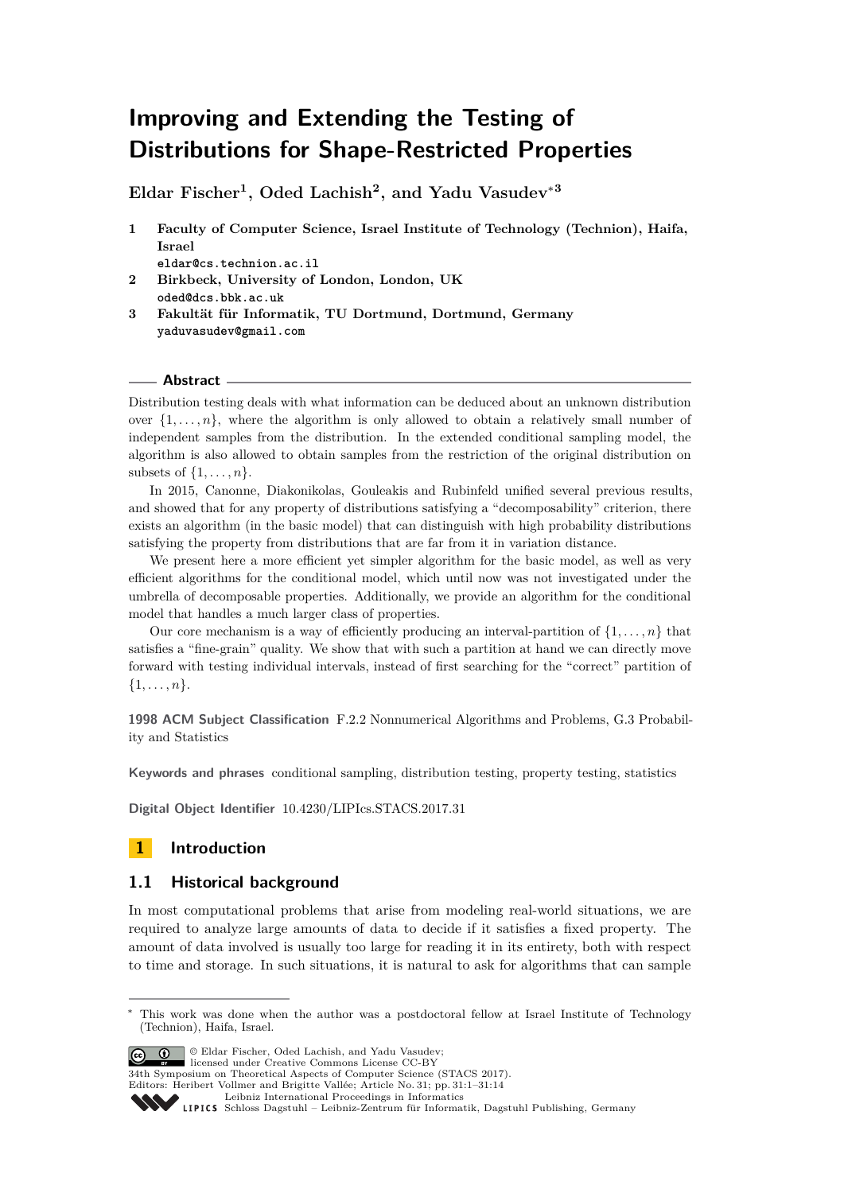# **Improving and Extending the Testing of Distributions for Shape-Restricted Properties**

**Eldar Fischer<sup>1</sup> , Oded Lachish<sup>2</sup> , and Yadu Vasudev**<sup>∗</sup>**<sup>3</sup>**

**1 Faculty of Computer Science, Israel Institute of Technology (Technion), Haifa, Israel**

**eldar@cs.technion.ac.il**

- **2 Birkbeck, University of London, London, UK oded@dcs.bbk.ac.uk**
- **3 Fakultät für Informatik, TU Dortmund, Dortmund, Germany yaduvasudev@gmail.com**

### **Abstract**

Distribution testing deals with what information can be deduced about an unknown distribution over  $\{1, \ldots, n\}$ , where the algorithm is only allowed to obtain a relatively small number of independent samples from the distribution. In the extended conditional sampling model, the algorithm is also allowed to obtain samples from the restriction of the original distribution on subsets of  $\{1, \ldots, n\}$ .

In 2015, Canonne, Diakonikolas, Gouleakis and Rubinfeld unified several previous results, and showed that for any property of distributions satisfying a "decomposability" criterion, there exists an algorithm (in the basic model) that can distinguish with high probability distributions satisfying the property from distributions that are far from it in variation distance.

We present here a more efficient yet simpler algorithm for the basic model, as well as very efficient algorithms for the conditional model, which until now was not investigated under the umbrella of decomposable properties. Additionally, we provide an algorithm for the conditional model that handles a much larger class of properties.

Our core mechanism is a way of efficiently producing an interval-partition of  $\{1, \ldots, n\}$  that satisfies a "fine-grain" quality. We show that with such a partition at hand we can directly move forward with testing individual intervals, instead of first searching for the "correct" partition of {1*, . . . , n*}.

**1998 ACM Subject Classification** F.2.2 Nonnumerical Algorithms and Problems, G.3 Probability and Statistics

**Keywords and phrases** conditional sampling, distribution testing, property testing, statistics

**Digital Object Identifier** [10.4230/LIPIcs.STACS.2017.31](http://dx.doi.org/10.4230/LIPIcs.STACS.2017.31)

# **1 Introduction**

# **1.1 Historical background**

In most computational problems that arise from modeling real-world situations, we are required to analyze large amounts of data to decide if it satisfies a fixed property. The amount of data involved is usually too large for reading it in its entirety, both with respect to time and storage. In such situations, it is natural to ask for algorithms that can sample

© Eldar Fischer, Oded Lachish, and Yadu Vasudev;

licensed under Creative Commons License CC-BY

34th Symposium on Theoretical Aspects of Computer Science (STACS 2017).

Editors: Heribert Vollmer and Brigitte Vallée; Article No. 31; pp. 31:1–31[:14](#page-13-0) [Leibniz International Proceedings in Informatics](http://www.dagstuhl.de/lipics/)



<sup>∗</sup> This work was done when the author was a postdoctoral fellow at Israel Institute of Technology (Technion), Haifa, Israel.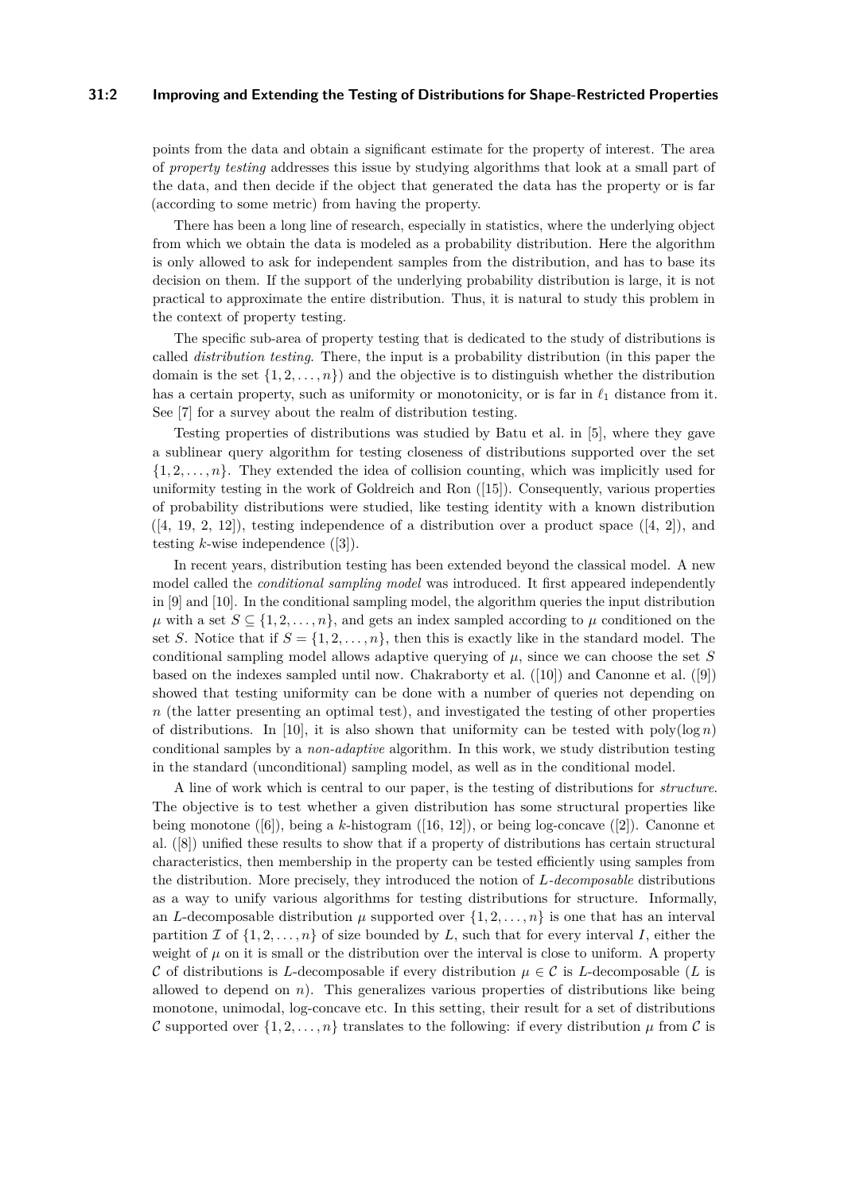#### **31:2 Improving and Extending the Testing of Distributions for Shape-Restricted Properties**

points from the data and obtain a significant estimate for the property of interest. The area of *property testing* addresses this issue by studying algorithms that look at a small part of the data, and then decide if the object that generated the data has the property or is far (according to some metric) from having the property.

There has been a long line of research, especially in statistics, where the underlying object from which we obtain the data is modeled as a probability distribution. Here the algorithm is only allowed to ask for independent samples from the distribution, and has to base its decision on them. If the support of the underlying probability distribution is large, it is not practical to approximate the entire distribution. Thus, it is natural to study this problem in the context of property testing.

The specific sub-area of property testing that is dedicated to the study of distributions is called *distribution testing*. There, the input is a probability distribution (in this paper the domain is the set  $\{1, 2, \ldots, n\}$  and the objective is to distinguish whether the distribution has a certain property, such as uniformity or monotonicity, or is far in  $\ell_1$  distance from it. See [\[7\]](#page-12-0) for a survey about the realm of distribution testing.

Testing properties of distributions was studied by Batu et al. in [\[5\]](#page-12-1), where they gave a sublinear query algorithm for testing closeness of distributions supported over the set  $\{1, 2, \ldots, n\}$ . They extended the idea of collision counting, which was implicitly used for uniformity testing in the work of Goldreich and Ron ([\[15\]](#page-13-1)). Consequently, various properties of probability distributions were studied, like testing identity with a known distribution  $([4, 19, 2, 12])$  $([4, 19, 2, 12])$  $([4, 19, 2, 12])$  $([4, 19, 2, 12])$  $([4, 19, 2, 12])$  $([4, 19, 2, 12])$  $([4, 19, 2, 12])$  $([4, 19, 2, 12])$  $([4, 19, 2, 12])$ , testing independence of a distribution over a product space  $([4, 2])$  $([4, 2])$  $([4, 2])$ , and testing *k*-wise independence ([\[3\]](#page-12-5)).

In recent years, distribution testing has been extended beyond the classical model. A new model called the *conditional sampling model* was introduced. It first appeared independently in [\[9\]](#page-12-6) and [\[10\]](#page-12-7). In the conditional sampling model, the algorithm queries the input distribution  $\mu$  with a set  $S \subseteq \{1, 2, \ldots, n\}$ , and gets an index sampled according to  $\mu$  conditioned on the set *S*. Notice that if  $S = \{1, 2, ..., n\}$ , then this is exactly like in the standard model. The conditional sampling model allows adaptive querying of  $\mu$ , since we can choose the set *S* based on the indexes sampled until now. Chakraborty et al. ([\[10\]](#page-12-7)) and Canonne et al. ([\[9\]](#page-12-6)) showed that testing uniformity can be done with a number of queries not depending on *n* (the latter presenting an optimal test), and investigated the testing of other properties of distributions. In [\[10\]](#page-12-7), it is also shown that uniformity can be tested with  $poly(log n)$ conditional samples by a *non-adaptive* algorithm. In this work, we study distribution testing in the standard (unconditional) sampling model, as well as in the conditional model.

A line of work which is central to our paper, is the testing of distributions for *structure*. The objective is to test whether a given distribution has some structural properties like being monotone ([\[6\]](#page-12-8)), being a *k*-histogram ([\[16,](#page-13-3) [12\]](#page-12-4)), or being log-concave ([\[2\]](#page-12-3)). Canonne et al. ([\[8\]](#page-12-9)) unified these results to show that if a property of distributions has certain structural characteristics, then membership in the property can be tested efficiently using samples from the distribution. More precisely, they introduced the notion of *L-decomposable* distributions as a way to unify various algorithms for testing distributions for structure. Informally, an *L*-decomposable distribution  $\mu$  supported over  $\{1, 2, \ldots, n\}$  is one that has an interval partition I of  $\{1, 2, \ldots, n\}$  of size bounded by L, such that for every interval I, either the weight of  $\mu$  on it is small or the distribution over the interval is close to uniform. A property C of distributions is *L*-decomposable if every distribution  $\mu \in \mathcal{C}$  is *L*-decomposable (*L* is allowed to depend on  $n$ ). This generalizes various properties of distributions like being monotone, unimodal, log-concave etc. In this setting, their result for a set of distributions C supported over  $\{1, 2, \ldots, n\}$  translates to the following: if every distribution  $\mu$  from C is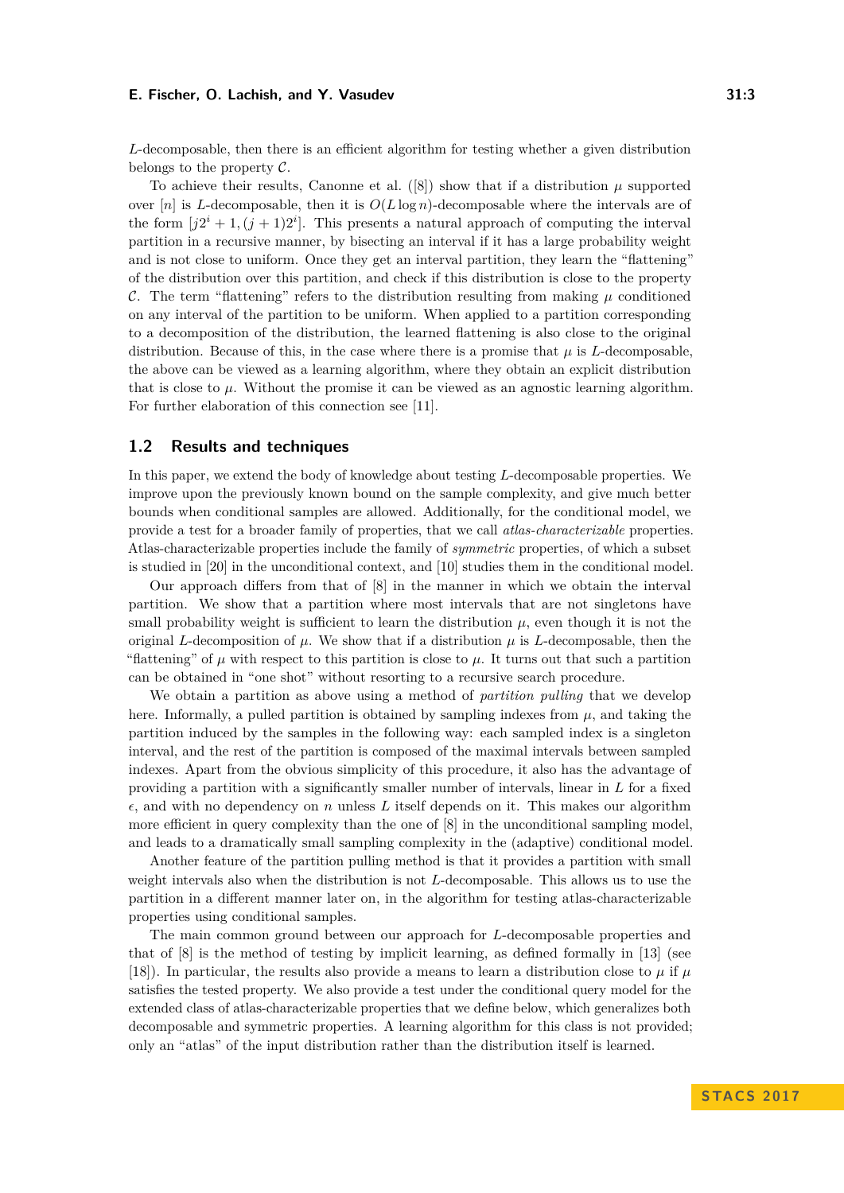*L*-decomposable, then there is an efficient algorithm for testing whether a given distribution belongs to the property  $\mathcal{C}$ .

To achieve their results, Canonne et al.  $([8])$  $([8])$  $([8])$  show that if a distribution  $\mu$  supported over  $[n]$  is *L*-decomposable, then it is  $O(L \log n)$ -decomposable where the intervals are of the form  $[j2^i + 1, (j + 1)2^i]$ . This presents a natural approach of computing the interval partition in a recursive manner, by bisecting an interval if it has a large probability weight and is not close to uniform. Once they get an interval partition, they learn the "flattening" of the distribution over this partition, and check if this distribution is close to the property C. The term "flattening" refers to the distribution resulting from making  $\mu$  conditioned on any interval of the partition to be uniform. When applied to a partition corresponding to a decomposition of the distribution, the learned flattening is also close to the original distribution. Because of this, in the case where there is a promise that  $\mu$  is *L*-decomposable, the above can be viewed as a learning algorithm, where they obtain an explicit distribution that is close to  $\mu$ . Without the promise it can be viewed as an agnostic learning algorithm. For further elaboration of this connection see [\[11\]](#page-12-10).

## **1.2 Results and techniques**

In this paper, we extend the body of knowledge about testing *L*-decomposable properties. We improve upon the previously known bound on the sample complexity, and give much better bounds when conditional samples are allowed. Additionally, for the conditional model, we provide a test for a broader family of properties, that we call *atlas-characterizable* properties. Atlas-characterizable properties include the family of *symmetric* properties, of which a subset is studied in [\[20\]](#page-13-4) in the unconditional context, and [\[10\]](#page-12-7) studies them in the conditional model.

Our approach differs from that of [\[8\]](#page-12-9) in the manner in which we obtain the interval partition. We show that a partition where most intervals that are not singletons have small probability weight is sufficient to learn the distribution  $\mu$ , even though it is not the original *L*-decomposition of  $\mu$ . We show that if a distribution  $\mu$  is *L*-decomposable, then the "flattening" of  $\mu$  with respect to this partition is close to  $\mu$ . It turns out that such a partition can be obtained in "one shot" without resorting to a recursive search procedure.

We obtain a partition as above using a method of *partition pulling* that we develop here. Informally, a pulled partition is obtained by sampling indexes from  $\mu$ , and taking the partition induced by the samples in the following way: each sampled index is a singleton interval, and the rest of the partition is composed of the maximal intervals between sampled indexes. Apart from the obvious simplicity of this procedure, it also has the advantage of providing a partition with a significantly smaller number of intervals, linear in *L* for a fixed  $\epsilon$ , and with no dependency on *n* unless L itself depends on it. This makes our algorithm more efficient in query complexity than the one of [\[8\]](#page-12-9) in the unconditional sampling model, and leads to a dramatically small sampling complexity in the (adaptive) conditional model.

Another feature of the partition pulling method is that it provides a partition with small weight intervals also when the distribution is not *L*-decomposable. This allows us to use the partition in a different manner later on, in the algorithm for testing atlas-characterizable properties using conditional samples.

The main common ground between our approach for *L*-decomposable properties and that of [\[8\]](#page-12-9) is the method of testing by implicit learning, as defined formally in [\[13\]](#page-12-11) (see [\[18\]](#page-13-5)). In particular, the results also provide a means to learn a distribution close to  $\mu$  if  $\mu$ satisfies the tested property. We also provide a test under the conditional query model for the extended class of atlas-characterizable properties that we define below, which generalizes both decomposable and symmetric properties. A learning algorithm for this class is not provided; only an "atlas" of the input distribution rather than the distribution itself is learned.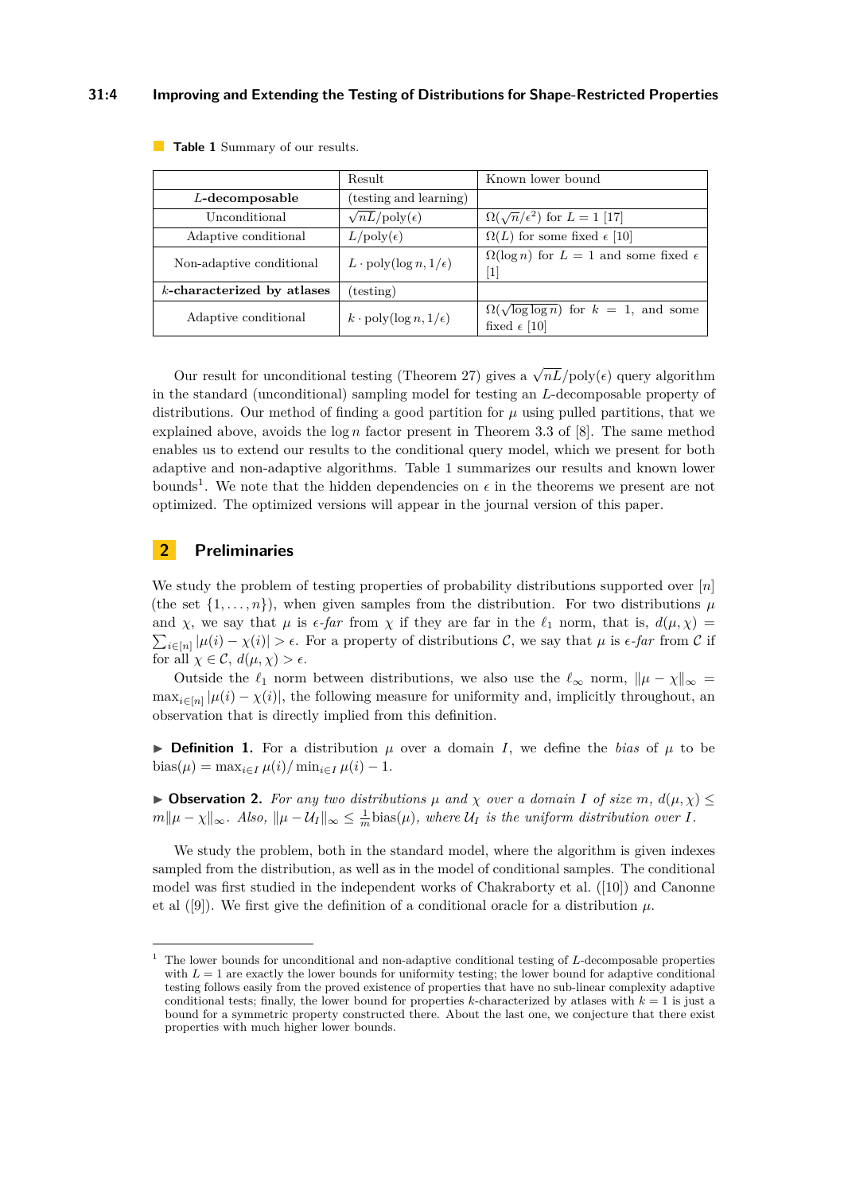#### **31:4 Improving and Extending the Testing of Distributions for Shape-Restricted Properties**

|                               | Result                                    | Known lower bound                                                            |
|-------------------------------|-------------------------------------------|------------------------------------------------------------------------------|
| $L$ -decomposable             | (testing and learning)                    |                                                                              |
| Unconditional                 | $\sqrt{nL}/poly(\epsilon)$                | $\Omega(\sqrt{n}/\epsilon^2)$ for $L=1$ [17]                                 |
| Adaptive conditional          | $L/\text{poly}(\epsilon)$                 | $\Omega(L)$ for some fixed $\epsilon$ [10]                                   |
| Non-adaptive conditional      | $L \cdot \text{poly}(\log n, 1/\epsilon)$ | $\Omega(\log n)$ for $L = 1$ and some fixed $\epsilon$<br>$\lceil 1 \rceil$  |
| $k$ -characterized by atlases | (testing)                                 |                                                                              |
| Adaptive conditional          | $k \cdot \text{poly}(\log n, 1/\epsilon)$ | $\Omega(\sqrt{\log \log n})$ for $k = 1$ , and some<br>fixed $\epsilon$ [10] |

<span id="page-3-0"></span>**Table 1** Summary of our results.

Our result for unconditional testing (Theorem [27\)](#page-10-0) gives a  $\sqrt{nL}/poly(\epsilon)$  query algorithm in the standard (unconditional) sampling model for testing an *L*-decomposable property of distributions. Our method of finding a good partition for  $\mu$  using pulled partitions, that we explained above, avoids the log *n* factor present in Theorem 3.3 of [\[8\]](#page-12-9). The same method enables us to extend our results to the conditional query model, which we present for both adaptive and non-adaptive algorithms. Table [1](#page-3-0) summarizes our results and known lower bounds<sup>[1](#page-3-1)</sup>. We note that the hidden dependencies on  $\epsilon$  in the theorems we present are not optimized. The optimized versions will appear in the journal version of this paper.

# **2 Preliminaries**

We study the problem of testing properties of probability distributions supported over [*n*] (the set  $\{1, \ldots, n\}$ ), when given samples from the distribution. For two distributions  $\mu$ and *χ*, we say that  $\mu$  is  $\epsilon$ -far from  $\chi$  if they are far in the  $\ell_1$  norm, that is,  $d(\mu, \chi)$  =  $\sum_{i\in[n]} |\mu(i) - \chi(i)| > \epsilon$ . For a property of distributions C, we say that  $\mu$  is  $\epsilon$ -far from C if for all  $\chi \in \mathcal{C}$ ,  $d(\mu, \chi) > \epsilon$ .

Outside the  $\ell_1$  norm between distributions, we also use the  $\ell_\infty$  norm,  $\|\mu - \chi\|_\infty =$  $\max_{i \in [n]} |\mu(i) - \chi(i)|$ , the following measure for uniformity and, implicitly throughout, an observation that is directly implied from this definition.

**Definition 1.** For a distribution  $\mu$  over a domain *I*, we define the *bias* of  $\mu$  to be  $\frac{\partial \text{bias}(\mu) = \max_{i \in I} \mu(i) / \min_{i \in I} \mu(i) - 1.$ 

 $▶$  **Observation 2.** For any two distributions  $\mu$  and  $\chi$  over a domain *I* of size *m*,  $d(\mu, \chi) ≤$  $m\|\mu - \chi\|_{\infty}$ . Also,  $\|\mu - \mathcal{U}_I\|_{\infty} \leq \frac{1}{m}\text{bias}(\mu)$ , where  $\mathcal{U}_I$  is the uniform distribution over *I*.

We study the problem, both in the standard model, where the algorithm is given indexes sampled from the distribution, as well as in the model of conditional samples. The conditional model was first studied in the independent works of Chakraborty et al. ([\[10\]](#page-12-7)) and Canonne et al  $([9])$  $([9])$  $([9])$ . We first give the definition of a conditional oracle for a distribution  $\mu$ .

<span id="page-3-1"></span><sup>1</sup> The lower bounds for unconditional and non-adaptive conditional testing of *L*-decomposable properties with  $L = 1$  are exactly the lower bounds for uniformity testing; the lower bound for adaptive conditional testing follows easily from the proved existence of properties that have no sub-linear complexity adaptive conditional tests; finally, the lower bound for properties *k*-characterized by atlases with  $k = 1$  is just a bound for a symmetric property constructed there. About the last one, we conjecture that there exist properties with much higher lower bounds.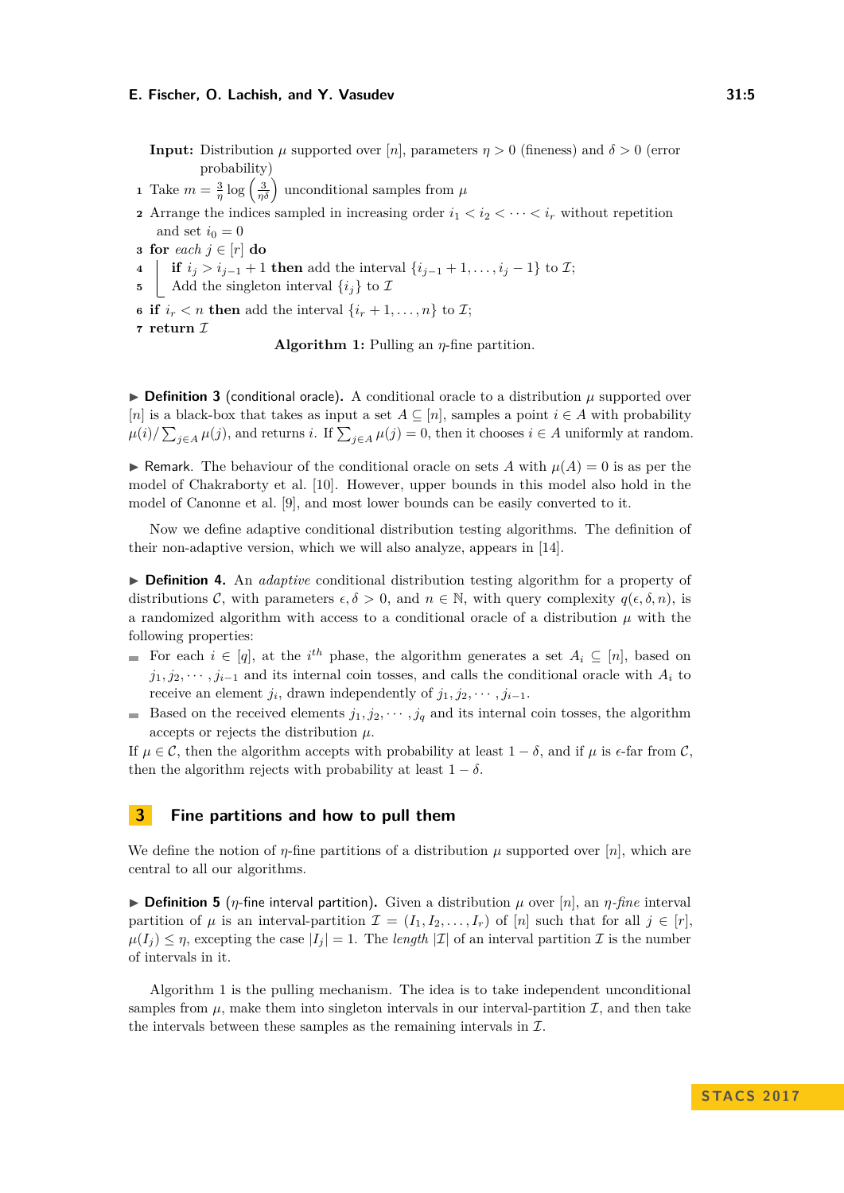<span id="page-4-0"></span>**Input:** Distribution  $\mu$  supported over [*n*], parameters  $\eta > 0$  (fineness) and  $\delta > 0$  (error probability)

- <span id="page-4-3"></span>**1** Take  $m = \frac{3}{\eta} \log \left( \frac{3}{\eta \delta} \right)$  unconditional samples from  $\mu$
- <span id="page-4-1"></span>**2** Arrange the indices sampled in increasing order  $i_1 < i_2 < \cdots < i_r$  without repetition and set  $i_0 = 0$
- **3 for** *each*  $j \in [r]$  **do**
- **4 if**  $i_j > i_{j-1} + 1$  **then** add the interval  $\{i_{j-1} + 1, \ldots, i_j 1\}$  to *I*;
- **5** Add the singleton interval  $\{i_j\}$  to  $\mathcal{I}$
- <span id="page-4-2"></span>**6 if**  $i_r < n$  **then** add the interval  $\{i_r + 1, \ldots, n\}$  to  $\mathcal{I}$ ;
- **<sup>7</sup> return** I

**Algorithm 1:** Pulling an *η*-fine partition.

 $\triangleright$  **Definition 3** (conditional oracle). A conditional oracle to a distribution  $\mu$  supported over [*n*] is a black-box that takes as input a set  $A \subseteq [n]$ , samples a point  $i \in A$  with probability  $\mu(i)/\sum_{j\in A}\mu(j)$ , and returns *i*. If  $\sum_{j\in A}\mu(j) = 0$ , then it chooses  $i \in A$  uniformly at random.

**If Remark.** The behaviour of the conditional oracle on sets *A* with  $\mu(A) = 0$  is as per the model of Chakraborty et al. [\[10\]](#page-12-7). However, upper bounds in this model also hold in the model of Canonne et al. [\[9\]](#page-12-6), and most lower bounds can be easily converted to it.

Now we define adaptive conditional distribution testing algorithms. The definition of their non-adaptive version, which we will also analyze, appears in [\[14\]](#page-13-7).

I **Definition 4.** An *adaptive* conditional distribution testing algorithm for a property of distributions C, with parameters  $\epsilon, \delta > 0$ , and  $n \in \mathbb{N}$ , with query complexity  $q(\epsilon, \delta, n)$ , is a randomized algorithm with access to a conditional oracle of a distribution  $\mu$  with the following properties:

- For each  $i \in [q]$ , at the *i*<sup>th</sup> phase, the algorithm generates a set  $A_i \subseteq [n]$ , based on  $j_1, j_2, \dots, j_{i-1}$  and its internal coin tosses, and calls the conditional oracle with  $A_i$  to receive an element  $j_i$ , drawn independently of  $j_1, j_2, \cdots, j_{i-1}$ .
- Based on the received elements  $j_1, j_2, \dots, j_q$  and its internal coin tosses, the algorithm accepts or rejects the distribution *µ*.

If  $\mu \in \mathcal{C}$ , then the algorithm accepts with probability at least  $1 - \delta$ , and if  $\mu$  is  $\epsilon$ -far from  $\mathcal{C}$ , then the algorithm rejects with probability at least  $1 - \delta$ .

# **3 Fine partitions and how to pull them**

We define the notion of  $\eta$ -fine partitions of a distribution  $\mu$  supported over  $[n]$ , which are central to all our algorithms.

**Definition 5** (*η*-fine interval partition). Given a distribution  $\mu$  over [*n*], an *η*-fine interval partition of  $\mu$  is an interval-partition  $\mathcal{I} = (I_1, I_2, \ldots, I_r)$  of  $[n]$  such that for all  $j \in [r]$ ,  $\mu(I_i) \leq \eta$ , excepting the case  $|I_i| = 1$ . The *length*  $|\mathcal{I}|$  of an interval partition  $\mathcal{I}$  is the number of intervals in it.

Algorithm [1](#page-4-0) is the pulling mechanism. The idea is to take independent unconditional samples from  $\mu$ , make them into singleton intervals in our interval-partition  $\mathcal{I}$ , and then take the intervals between these samples as the remaining intervals in  $\mathcal{I}$ .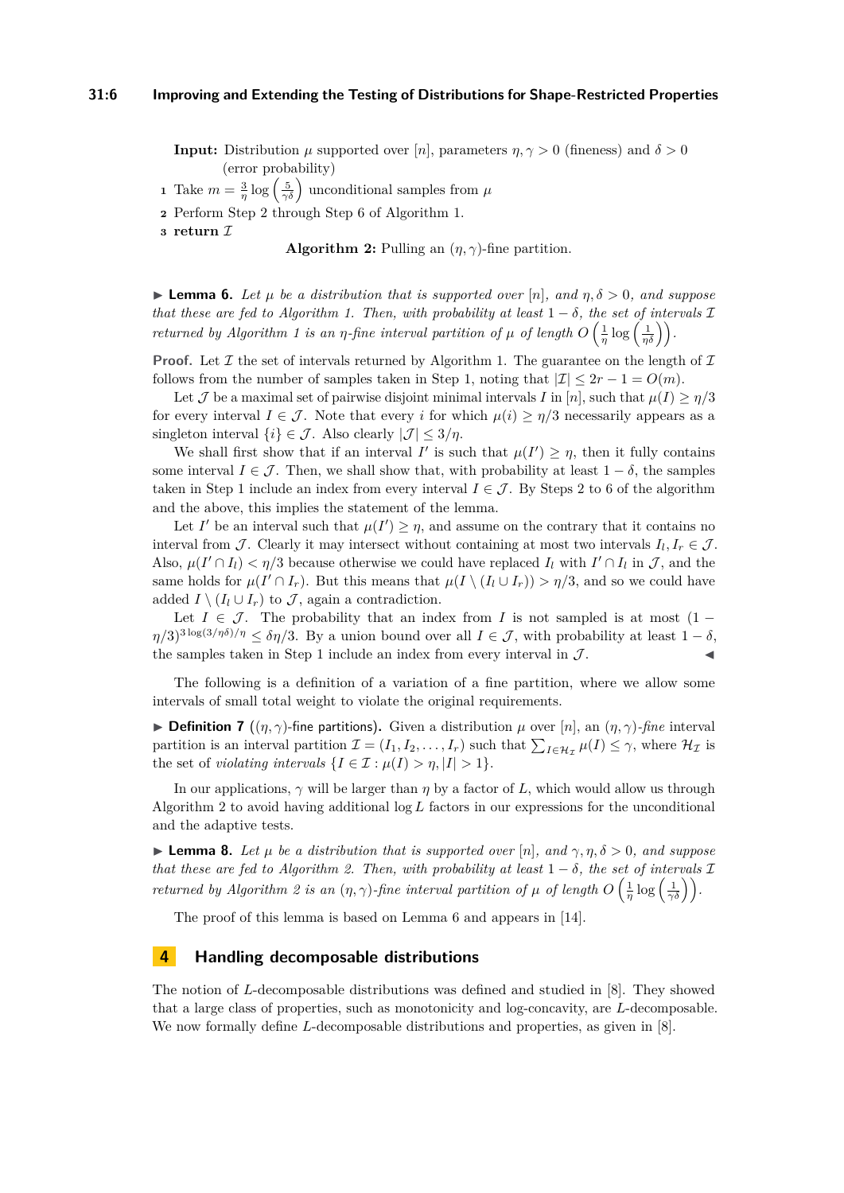<span id="page-5-0"></span>**Input:** Distribution  $\mu$  supported over [*n*], parameters  $\eta, \gamma > 0$  (fineness) and  $\delta > 0$ (error probability)

**1** Take  $m = \frac{3}{\eta} \log \left( \frac{5}{\gamma \delta} \right)$  unconditional samples from  $\mu$ 

**2** Perform Step [2](#page-4-1) through Step [6](#page-4-2) of Algorithm [1.](#page-4-0)

**<sup>3</sup> return** I

**Algorithm 2:** Pulling an  $(\eta, \gamma)$ -fine partition.

<span id="page-5-1"></span>**I Lemma 6.** Let  $\mu$  be a distribution that is supported over  $[n]$ , and  $\eta$ ,  $\delta > 0$ , and suppose *that these are fed to Algorithm [1.](#page-4-0) Then, with probability at least*  $1 - \delta$ *, the set of intervals*  $\mathcal{I}$ *returned by Algorithm [1](#page-4-0) is an <i>η*-fine interval partition of  $\mu$  of length  $O\left(\frac{1}{\eta} \log\left(\frac{1}{\eta \delta}\right)\right)$ .

**Proof.** Let  $\mathcal I$  the set of intervals returned by Algorithm [1.](#page-4-0) The guarantee on the length of  $\mathcal I$ follows from the number of samples taken in Step [1,](#page-4-3) noting that  $|\mathcal{I}| \leq 2r - 1 = O(m)$ .

Let J be a maximal set of pairwise disjoint minimal intervals I in [n], such that  $\mu(I) \ge \eta/3$ for every interval  $I \in \mathcal{J}$ . Note that every *i* for which  $\mu(i) \geq \eta/3$  necessarily appears as a singleton interval  $\{i\} \in \mathcal{J}$ . Also clearly  $|\mathcal{J}| \leq 3/\eta$ .

We shall first show that if an interval *I'* is such that  $\mu(I') \geq \eta$ , then it fully contains some interval  $I \in \mathcal{J}$ . Then, we shall show that, with probability at least  $1 - \delta$ , the samples taken in Step [1](#page-4-3) include an index from every interval  $I \in \mathcal{J}$ . By Steps [2](#page-4-1) to [6](#page-4-2) of the algorithm and the above, this implies the statement of the lemma.

Let *I*' be an interval such that  $\mu(I') \geq \eta$ , and assume on the contrary that it contains no interval from  $\mathcal{J}$ . Clearly it may intersect without containing at most two intervals  $I_l, I_r \in \mathcal{J}$ . Also,  $\mu(I' \cap I_l) < \eta/3$  because otherwise we could have replaced  $I_l$  with  $I' \cap I_l$  in  $\mathcal{J}$ , and the same holds for  $\mu(I' \cap I_r)$ . But this means that  $\mu(I \setminus (I_l \cup I_r)) > \eta/3$ , and so we could have added  $I \setminus (I_l \cup I_r)$  to  $\mathcal{J}$ , again a contradiction.

Let  $I \in \mathcal{J}$ . The probability that an index from *I* is not sampled is at most (1 −  $\eta/3$ <sup>3log(3/*ηδ*)/*η*  $\leq \delta \eta/3$ . By a union bound over all  $I \in \mathcal{J}$ , with probability at least  $1 - \delta$ ,</sup> the samples taken in Step [1](#page-4-3) include an index from every interval in  $\mathcal{J}$ .

The following is a definition of a variation of a fine partition, where we allow some intervals of small total weight to violate the original requirements.

**Definition 7** ( $(\eta, \gamma)$ -fine partitions). Given a distribution  $\mu$  over [n], an  $(\eta, \gamma)$ -fine interval partition is an interval partition  $\mathcal{I} = (I_1, I_2, \ldots, I_r)$  such that  $\sum_{I \in \mathcal{H}_{\mathcal{I}}} \mu(I) \leq \gamma$ , where  $\mathcal{H}_{\mathcal{I}}$  is the set of *violating intervals*  $\{I \in \mathcal{I} : \mu(I) > \eta, |I| > 1\}.$ 

In our applications,  $\gamma$  will be larger than  $\eta$  by a factor of L, which would allow us through Algorithm [2](#page-5-0) to avoid having additional log *L* factors in our expressions for the unconditional and the adaptive tests.

<span id="page-5-2"></span>**Lemma 8.** Let  $\mu$  be a distribution that is supported over  $[n]$ , and  $\gamma, \eta, \delta > 0$ , and suppose *that these are fed to Algorithm [2.](#page-5-0) Then, with probability at least*  $1 - \delta$ *, the set of intervals*  $\mathcal{I}$ *returned by Algorithm [2](#page-5-0) is an*  $(\eta, \gamma)$ -fine interval partition of  $\mu$  of length  $O\left(\frac{1}{\eta} \log\left(\frac{1}{\gamma \delta}\right)\right)$ .

The proof of this lemma is based on Lemma [6](#page-5-1) and appears in [\[14\]](#page-13-7).

# **4 Handling decomposable distributions**

The notion of *L*-decomposable distributions was defined and studied in [\[8\]](#page-12-9). They showed that a large class of properties, such as monotonicity and log-concavity, are *L*-decomposable. We now formally define *L*-decomposable distributions and properties, as given in [\[8\]](#page-12-9).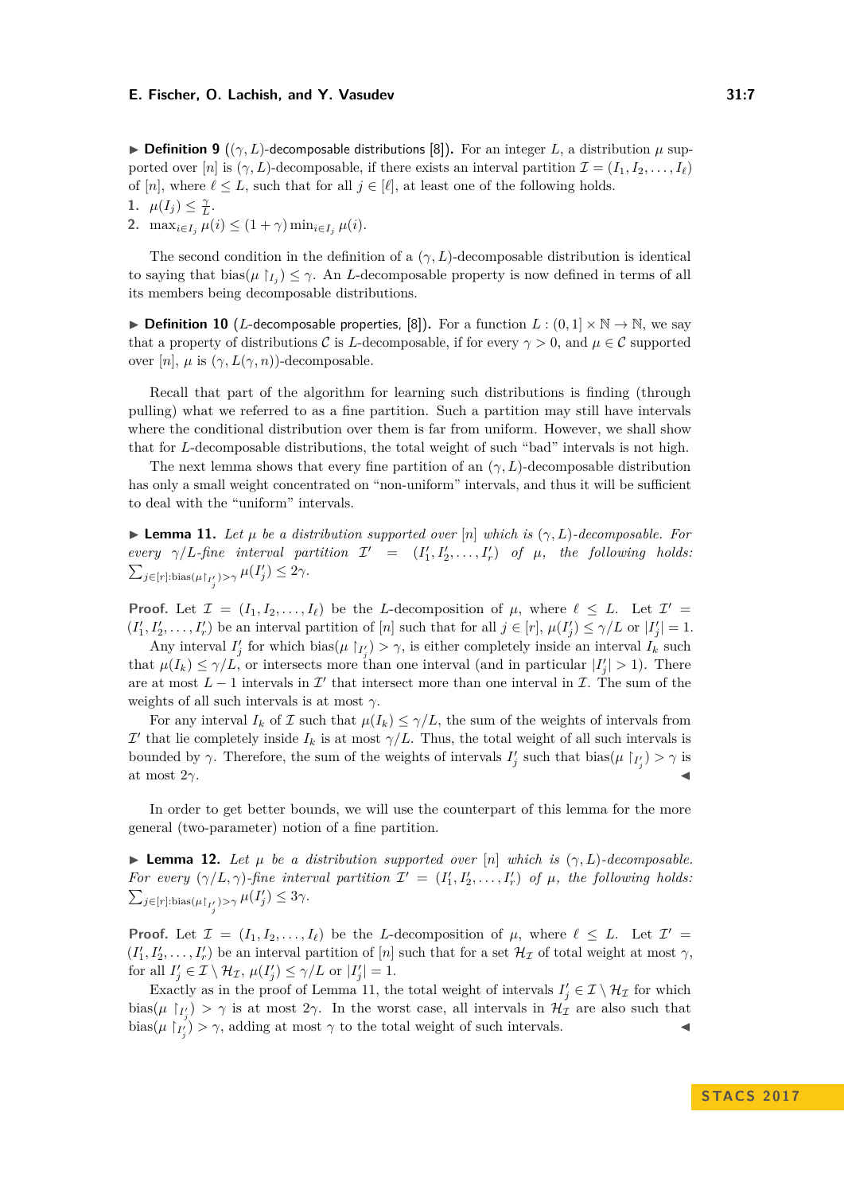**Definition 9** (( $\gamma$ , L)-decomposable distributions [\[8\]](#page-12-9)). For an integer L, a distribution  $\mu$  supported over [*n*] is  $(\gamma, L)$ -decomposable, if there exists an interval partition  $\mathcal{I} = (I_1, I_2, \ldots, I_\ell)$ of [*n*], where  $\ell \leq L$ , such that for all  $j \in [\ell]$ , at least one of the following holds.

1.  $\mu(I_j) \leq \frac{\gamma}{L}$ .

**2.** max<sub>*i*∈*I<sub>j</sub>*</sub>  $\mu(i) \leq (1 + \gamma) \min_{i \in I_i} \mu(i)$ .

The second condition in the definition of a  $(\gamma, L)$ -decomposable distribution is identical to saying that  $\text{bias}(\mu \restriction_{I_j}) \leq \gamma$ . An *L*-decomposable property is now defined in terms of all its members being decomposable distributions.

▶ **Definition 10** (*L*-decomposable properties, [\[8\]](#page-12-9)). For a function  $L : (0,1] \times \mathbb{N} \to \mathbb{N}$ , we say that a property of distributions C is L-decomposable, if for every  $\gamma > 0$ , and  $\mu \in \mathcal{C}$  supported over  $[n]$ ,  $\mu$  is  $(\gamma, L(\gamma, n))$ -decomposable.

Recall that part of the algorithm for learning such distributions is finding (through pulling) what we referred to as a fine partition. Such a partition may still have intervals where the conditional distribution over them is far from uniform. However, we shall show that for *L*-decomposable distributions, the total weight of such "bad" intervals is not high.

The next lemma shows that every fine partition of an  $(\gamma, L)$ -decomposable distribution has only a small weight concentrated on "non-uniform" intervals, and thus it will be sufficient to deal with the "uniform" intervals.

<span id="page-6-0"></span> $\blacktriangleright$  **Lemma 11.** Let  $\mu$  be a distribution supported over  $[n]$  which is  $(\gamma, L)$ -decomposable. For *every*  $\gamma/L$ -fine interval partition  $\mathcal{I}' = (I'_1, I'_2, \ldots, I'_r)$  of  $\mu$ , the following holds:  $\sum_{j \in [r]: \text{bias}(\mu \upharpoonright I'_j) > \gamma} \mu(I'_j) \leq 2\gamma.$ 

**Proof.** Let  $\mathcal{I} = (I_1, I_2, \ldots, I_\ell)$  be the *L*-decomposition of  $\mu$ , where  $\ell \leq L$ . Let  $\mathcal{I}' =$  $(I'_1, I'_2, \ldots, I'_r)$  be an interval partition of [*n*] such that for all  $j \in [r]$ ,  $\mu(I'_j) \leq \gamma/L$  or  $|I'_j| = 1$ .

Any interval  $I'_j$  for which bias( $\mu \restriction_{I'_j} > \gamma$ , is either completely inside an interval  $I_k$  such that  $\mu(I_k) \leq \gamma/L$ , or intersects more than one interval (and in particular  $|I'_j| > 1$ ). There are at most  $L-1$  intervals in  $\mathcal{I}'$  that intersect more than one interval in  $\mathcal{I}$ . The sum of the weights of all such intervals is at most *γ*.

For any interval  $I_k$  of  $\mathcal I$  such that  $\mu(I_k) \leq \gamma/L$ , the sum of the weights of intervals from  $\mathcal{I}'$  that lie completely inside  $I_k$  is at most  $\gamma/L$ . Thus, the total weight of all such intervals is bounded by  $\gamma$ . Therefore, the sum of the weights of intervals  $I'_j$  such that bias( $\mu \restriction_{I'_j} > \gamma$  is at most  $2\gamma$ .

In order to get better bounds, we will use the counterpart of this lemma for the more general (two-parameter) notion of a fine partition.

<span id="page-6-1"></span>**Lemma 12.** *Let µ be a distribution supported over*  $[n]$  *which is*  $(\gamma, L)$ *-decomposable. For every*  $(\gamma/L, \gamma)$ -fine interval partition  $\mathcal{I}' = (I'_1, I'_2, \ldots, I'_r)$  of  $\mu$ , the following holds:  $\sum_{j \in [r]: \text{bias}(\mu \restriction_{I'_j}) > \gamma} \mu(I'_j) \leq 3\gamma.$ 

**Proof.** Let  $\mathcal{I} = (I_1, I_2, \ldots, I_\ell)$  be the *L*-decomposition of  $\mu$ , where  $\ell \leq L$ . Let  $\mathcal{I}' =$  $(I'_1, I'_2, \ldots, I'_r)$  be an interval partition of [*n*] such that for a set  $\mathcal{H}_{\mathcal{I}}$  of total weight at most  $\gamma$ , for all  $I'_j \in \mathcal{I} \setminus \mathcal{H}_{\mathcal{I}}, \mu(I'_j) \leq \gamma/L$  or  $|I'_j| = 1$ .

Exactly as in the proof of Lemma [11,](#page-6-0) the total weight of intervals  $I'_j \in \mathcal{I} \setminus \mathcal{H}_{\mathcal{I}}$  for which bias( $\mu$   $\upharpoonright_{I'_j}$ ) >  $\gamma$  is at most 2 $\gamma$ . In the worst case, all intervals in  $\mathcal{H}_I$  are also such that bias( $\mu$   $\mid$  $\chi'_{j}$ ) >  $\gamma$ , adding at most  $\gamma$  to the total weight of such intervals.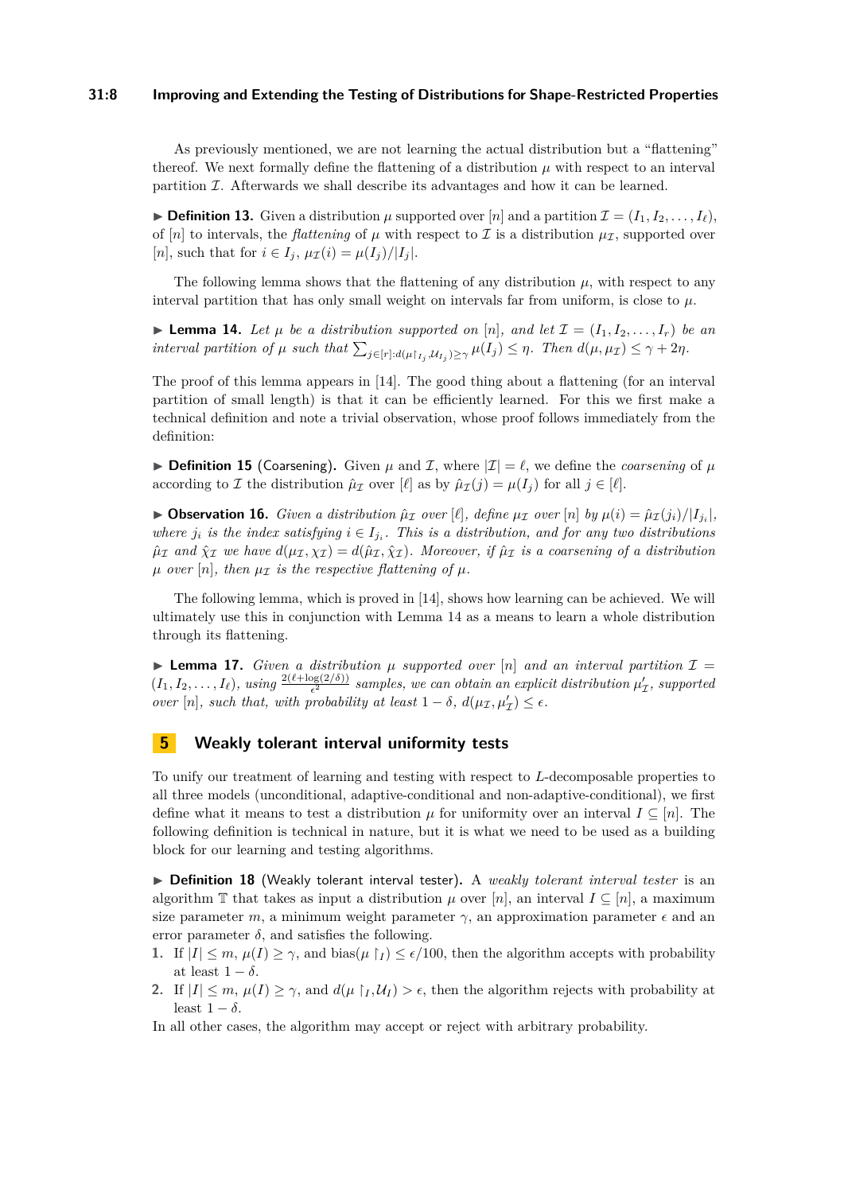#### **31:8 Improving and Extending the Testing of Distributions for Shape-Restricted Properties**

As previously mentioned, we are not learning the actual distribution but a "flattening" thereof. We next formally define the flattening of a distribution  $\mu$  with respect to an interval partition  $I$ . Afterwards we shall describe its advantages and how it can be learned.

**Definition 13.** Given a distribution  $\mu$  supported over  $[n]$  and a partition  $\mathcal{I} = (I_1, I_2, \ldots, I_\ell)$ , of [*n*] to intervals, the *flattening* of  $\mu$  with respect to  $\mathcal I$  is a distribution  $\mu_{\mathcal I}$ , supported over  $[n]$ , such that for  $i \in I_j$ ,  $\mu_{\mathcal{I}}(i) = \mu(I_j)/|I_j|$ .

The following lemma shows that the flattening of any distribution  $\mu$ , with respect to any interval partition that has only small weight on intervals far from uniform, is close to  $\mu$ .

<span id="page-7-0"></span>**Example 14.** Let  $\mu$  be a distribution supported on [n], and let  $\mathcal{I} = (I_1, I_2, \ldots, I_r)$  be an interval partition of  $\mu$  such that  $\sum_{j \in [r]:d(\mu|I_j,\mathcal{U}_{I_j}) \geq \gamma} \mu(I_j) \leq \eta$ . Then  $d(\mu, \mu_{\mathcal{I}}) \leq \gamma + 2\eta$ .

The proof of this lemma appears in [\[14\]](#page-13-7). The good thing about a flattening (for an interval partition of small length) is that it can be efficiently learned. For this we first make a technical definition and note a trivial observation, whose proof follows immediately from the definition:

**Definition 15** (Coarsening). Given  $\mu$  and  $\mathcal{I}$ , where  $|\mathcal{I}| = \ell$ , we define the *coarsening* of  $\mu$ according to *I* the distribution  $\hat{\mu}_\mathcal{I}$  over [ $\ell$ ] as by  $\hat{\mu}_\mathcal{I}(j) = \mu(I_j)$  for all  $j \in [\ell]$ .

**• Observation 16.** Given a distribution  $\hat{\mu}_{\mathcal{I}}$  over [ $\ell$ ], define  $\mu_{\mathcal{I}}$  over [n] by  $\mu(i) = \hat{\mu}_{\mathcal{I}}(j_i)/|I_{j_i}|$ , *where*  $j_i$  *is the index satisfying*  $i \in I_{j_i}$ . This is a distribution, and for any two distributions  $\hat{\mu}_{\mathcal{I}}$  and  $\hat{\chi}_{\mathcal{I}}$  we have  $d(\mu_{\mathcal{I}}, \chi_{\mathcal{I}}) = d(\hat{\mu}_{\mathcal{I}}, \hat{\chi}_{\mathcal{I}})$ *. Moreover, if*  $\hat{\mu}_{\mathcal{I}}$  *is a coarsening of a distribution*  $\mu$  *over* [n]*, then*  $\mu_{\mathcal{I}}$  *is the respective flattening of*  $\mu$ *.* 

The following lemma, which is proved in [\[14\]](#page-13-7), shows how learning can be achieved. We will ultimately use this in conjunction with Lemma [14](#page-7-0) as a means to learn a whole distribution through its flattening.

<span id="page-7-1"></span>**Lemma 17.** *Given a distribution*  $\mu$  *supported over* [n] *and an interval partition*  $\mathcal{I} =$  $(I_1, I_2, \ldots, I_\ell)$ , using  $\frac{2(\ell + \log(2/\delta))}{\epsilon^2}$  samples, we can obtain an explicit distribution  $\mu'_\mathcal{I}$ , supported *over* [*n*]*, such that, with probability at least*  $1 - \delta$ *,*  $d(\mu_{\mathcal{I}}, \mu_{\mathcal{I}}') \leq \epsilon$ *.* 

## **5 Weakly tolerant interval uniformity tests**

To unify our treatment of learning and testing with respect to *L*-decomposable properties to all three models (unconditional, adaptive-conditional and non-adaptive-conditional), we first define what it means to test a distribution  $\mu$  for uniformity over an interval  $I \subseteq [n]$ . The following definition is technical in nature, but it is what we need to be used as a building block for our learning and testing algorithms.

▶ Definition 18 (Weakly tolerant interval tester). A *weakly tolerant interval tester* is an algorithm T that takes as input a distribution  $\mu$  over [*n*], an interval  $I \subseteq [n]$ , a maximum size parameter *m*, a minimum weight parameter  $\gamma$ , an approximation parameter  $\epsilon$  and an error parameter  $\delta$ , and satisfies the following.

- **1.** If  $|I| \leq m$ ,  $\mu(I) \geq \gamma$ , and bias( $\mu \restriction I \leq \epsilon/100$ , then the algorithm accepts with probability at least  $1 - \delta$ .
- **2.** If  $|I| \leq m$ ,  $\mu(I) \geq \gamma$ , and  $d(\mu \restriction_I, \mathcal{U}_I) > \epsilon$ , then the algorithm rejects with probability at least  $1 - \delta$ .

In all other cases, the algorithm may accept or reject with arbitrary probability.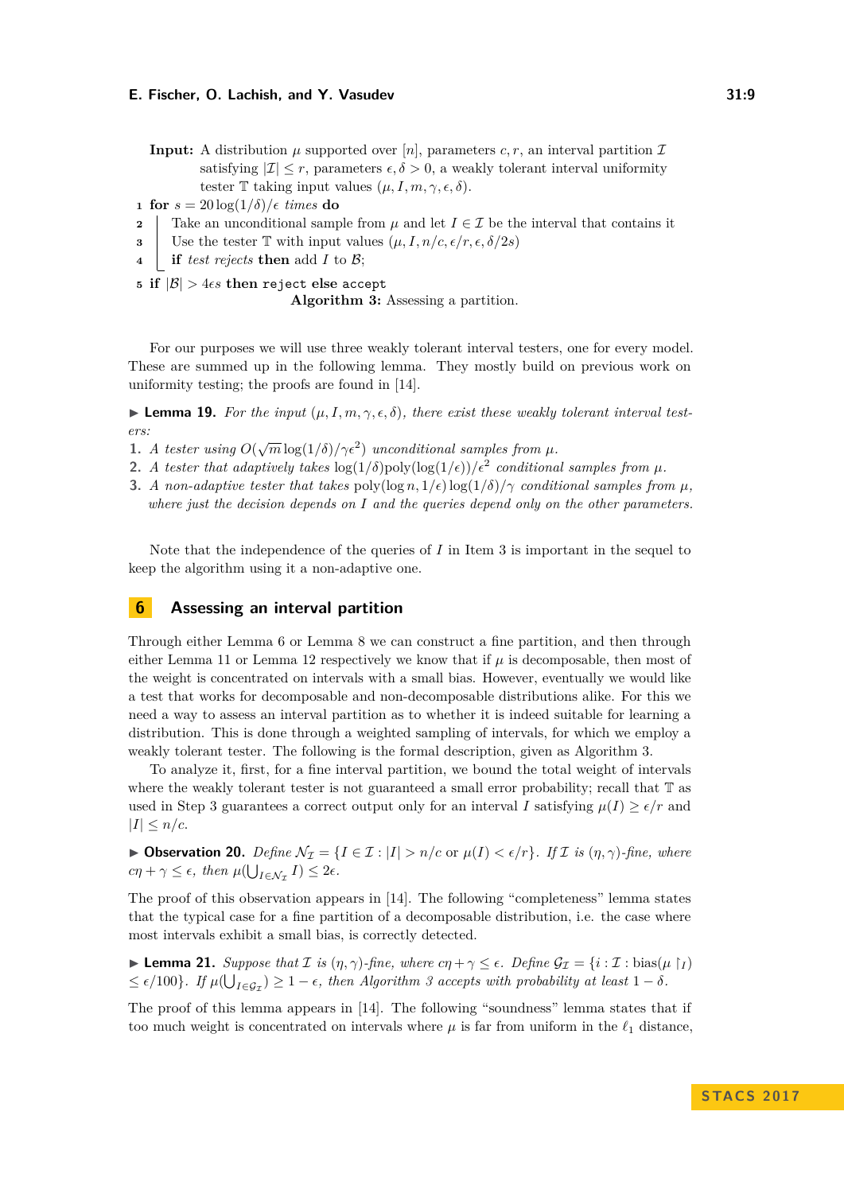<span id="page-8-1"></span>**Input:** A distribution  $\mu$  supported over [*n*], parameters *c, r*, an interval partition  $\mathcal{I}$ satisfying  $|\mathcal{I}| \leq r$ , parameters  $\epsilon, \delta > 0$ , a weakly tolerant interval uniformity tester T taking input values  $(\mu, I, m, \gamma, \epsilon, \delta)$ .

**1 for**  $s = 20 \log(1/\delta)/\epsilon$  *times* **do** 

- <span id="page-8-3"></span>**2** Take an unconditional sample from  $\mu$  and let  $I \in \mathcal{I}$  be the interval that contains it
- <span id="page-8-2"></span>**3** Use the tester T with input values  $(\mu, I, n/c, \epsilon/r, \epsilon, \delta/2s)$
- **<sup>4</sup> if** *test rejects* **then** add *I* to B;
- **5 if**  $|\mathcal{B}| > 4\epsilon s$  then reject else accept **Algorithm 3:** Assessing a partition.

For our purposes we will use three weakly tolerant interval testers, one for every model. These are summed up in the following lemma. They mostly build on previous work on uniformity testing; the proofs are found in [\[14\]](#page-13-7).

<span id="page-8-6"></span>**Lemma 19.** For the input  $(\mu, I, m, \gamma, \epsilon, \delta)$ , there exist these weakly tolerant interval test*ers:*

- <span id="page-8-4"></span>**1.** *A tester using*  $O(\sqrt{m} \log(1/\delta) / \gamma \epsilon^2)$  *unconditional samples from*  $\mu$ *.*
- <span id="page-8-5"></span>**2.** *A tester that adaptively takes*  $\log(1/\delta)$  poly $(\log(1/\epsilon))/\epsilon^2$  conditional samples from  $\mu$ .
- <span id="page-8-0"></span>**3.** *A non-adaptive tester that takes* poly $(\log n, 1/\epsilon)$  log( $1/\delta$ )/ $\gamma$  *conditional samples from*  $\mu$ *, where just the decision depends on I and the queries depend only on the other parameters.*

Note that the independence of the queries of *I* in Item [3](#page-8-0) is important in the sequel to keep the algorithm using it a non-adaptive one.

## **6 Assessing an interval partition**

Through either Lemma [6](#page-5-1) or Lemma [8](#page-5-2) we can construct a fine partition, and then through either Lemma [11](#page-6-0) or Lemma [12](#page-6-1) respectively we know that if  $\mu$  is decomposable, then most of the weight is concentrated on intervals with a small bias. However, eventually we would like a test that works for decomposable and non-decomposable distributions alike. For this we need a way to assess an interval partition as to whether it is indeed suitable for learning a distribution. This is done through a weighted sampling of intervals, for which we employ a weakly tolerant tester. The following is the formal description, given as Algorithm [3.](#page-8-1)

To analyze it, first, for a fine interval partition, we bound the total weight of intervals where the weakly tolerant tester is not guaranteed a small error probability; recall that  $\mathbb T$  as used in Step [3](#page-8-2) guarantees a correct output only for an interval *I* satisfying  $\mu(I) \geq \epsilon/r$  and  $|I| \leq n/c$ .

 $▶$  **Observation 20.** *Define*  $N_{\mathcal{I}} = \{I \in \mathcal{I} : |I| > n/c \text{ or } \mu(I) < \epsilon/r\}$ *. If I is*  $(n, \gamma)$ *-fine, where*  $c\eta + \gamma \leq \epsilon$ , then  $\mu(\bigcup_{I \in \mathcal{N}_{\mathcal{I}}} I) \leq 2\epsilon$ .

The proof of this observation appears in [\[14\]](#page-13-7). The following "completeness" lemma states that the typical case for a fine partition of a decomposable distribution, i.e. the case where most intervals exhibit a small bias, is correctly detected.

<span id="page-8-7"></span>**Lemma 21.** Suppose that  $\mathcal{I}$  is  $(\eta, \gamma)$ -fine, where  $c\eta + \gamma \leq \epsilon$ . Define  $\mathcal{G}_{\mathcal{I}} = \{i : \mathcal{I} : \text{bias}(\mu \restriction_I) \}$  $\leq \epsilon/100$ . If  $\mu(\bigcup_{I \in \mathcal{G}_{\mathcal{I}}}) \geq 1 - \epsilon$ , then Algorithm [3](#page-8-1) accepts with probability at least  $1 - \delta$ .

The proof of this lemma appears in [\[14\]](#page-13-7). The following "soundness" lemma states that if too much weight is concentrated on intervals where  $\mu$  is far from uniform in the  $\ell_1$  distance,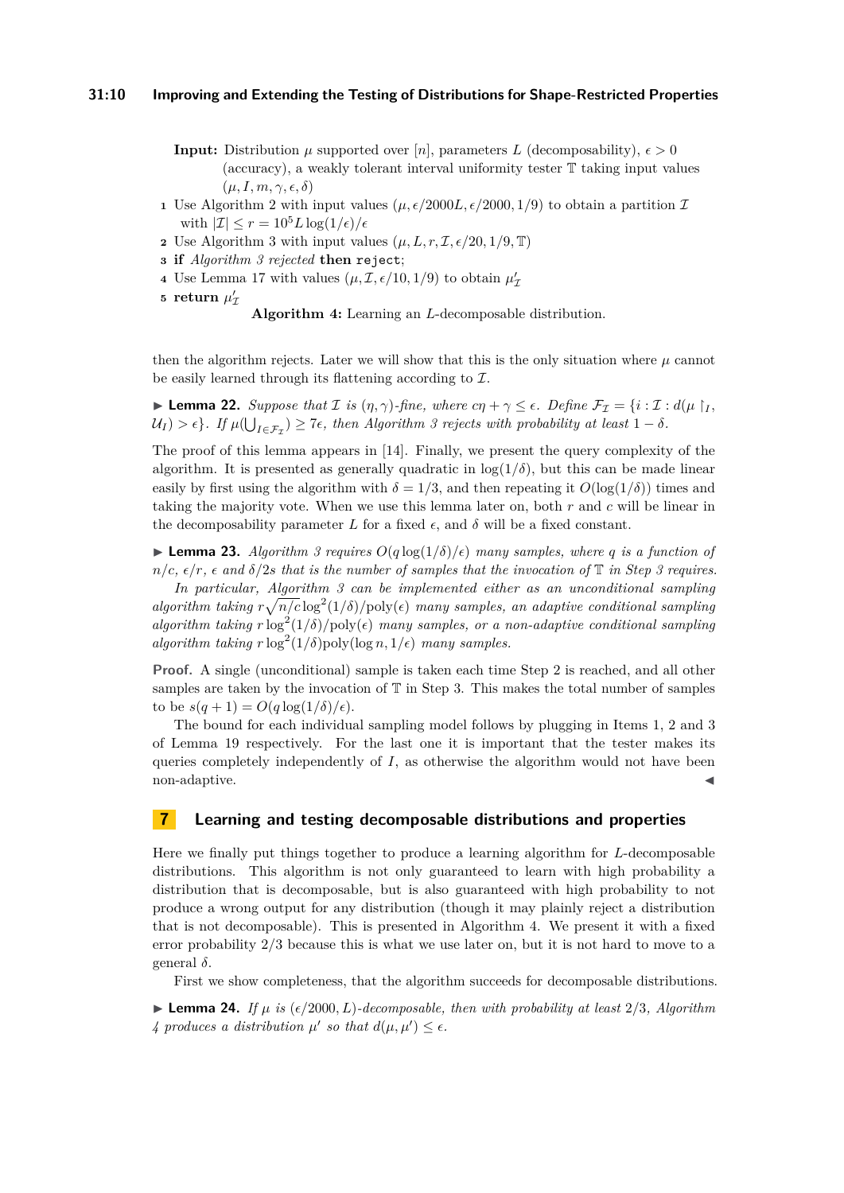- <span id="page-9-0"></span>**Input:** Distribution  $\mu$  supported over [*n*], parameters *L* (decomposability),  $\epsilon > 0$ (accuracy), a weakly tolerant interval uniformity tester T taking input values  $(\mu, I, m, \gamma, \epsilon, \delta)$
- <span id="page-9-4"></span>**1** Use Algorithm [2](#page-5-0) with input values  $(\mu, \epsilon/2000L, \epsilon/2000, 1/9)$  to obtain a partition  $\mathcal{I}$ with  $|\mathcal{I}| \leq r = 10^5 L \log(1/\epsilon)/\epsilon$
- <span id="page-9-6"></span>**2** Use Algorithm [3](#page-8-1) with input values  $(\mu, L, r, \mathcal{I}, \epsilon/20, 1/9, \mathbb{T})$
- <span id="page-9-1"></span>**<sup>3</sup> if** *Algorithm [3](#page-8-1) rejected* **then** reject;
- <span id="page-9-2"></span>**4** Use Lemma [17](#page-7-1) with values  $(\mu, \mathcal{I}, \epsilon/10, 1/9)$  to obtain  $\mu'_{\mathcal{I}}$
- $\mathfrak{s}$  **return**  $\mu'_{\mathcal{I}}$

**Algorithm 4:** Learning an *L*-decomposable distribution.

then the algorithm rejects. Later we will show that this is the only situation where  $\mu$  cannot be easily learned through its flattening according to  $I$ .

<span id="page-9-3"></span>► **Lemma 22.** *Suppose that*  $\mathcal{I}$  *is*  $(\eta, \gamma)$ -fine, where  $c\eta + \gamma \leq \epsilon$ . Define  $\mathcal{F}_{\mathcal{I}} = \{i : \mathcal{I} : d(\mu) \mid I$  $\mathcal{U}_I$ ) >  $\epsilon$ }. If  $\mu(\bigcup_{I \in \mathcal{F}_\mathcal{I}}) \geq 7\epsilon$ , then Algorithm [3](#page-8-1) rejects with probability at least  $1 - \delta$ .

The proof of this lemma appears in [\[14\]](#page-13-7). Finally, we present the query complexity of the algorithm. It is presented as generally quadratic in  $log(1/\delta)$ , but this can be made linear easily by first using the algorithm with  $\delta = 1/3$ , and then repeating it  $O(\log(1/\delta))$  times and taking the majority vote. When we use this lemma later on, both *r* and *c* will be linear in the decomposability parameter L for a fixed  $\epsilon$ , and  $\delta$  will be a fixed constant.

<span id="page-9-5"></span>**Lemma 23.** *Algorithm [3](#page-8-1) requires*  $O(q \log(1/\delta)/\epsilon)$  *many samples, where q is a function of*  $n/c$ ,  $\epsilon/r$ ,  $\epsilon$  and  $\delta/2s$  that is the number of samples that the invocation of  $\mathbb T$  in Step [3](#page-8-2) requires. *In particular, Algorithm [3](#page-8-1) can be implemented either as an unconditional sampling algorithm taking*  $r\sqrt{n/c} \log^2(1/\delta)$ /poly( $\epsilon$ ) *many samples, an adaptive conditional sampling algorithm taking*  $r \log^2(1/\delta)/\text{poly}(\epsilon)$  *many samples, or a non-adaptive conditional sampling algorithm taking*  $r \log^2(1/\delta)$  *poly*( $\log n, 1/\epsilon$ ) *many samples.* 

**Proof.** A single (unconditional) sample is taken each time Step [2](#page-8-3) is reached, and all other samples are taken by the invocation of  $\mathbb T$  in Step [3.](#page-8-2) This makes the total number of samples to be  $s(q+1) = O(q \log(1/\delta)/\epsilon)$ .

The bound for each individual sampling model follows by plugging in Items [1,](#page-8-4) [2](#page-8-5) and [3](#page-8-0) of Lemma [19](#page-8-6) respectively. For the last one it is important that the tester makes its queries completely independently of *I*, as otherwise the algorithm would not have been non-adaptive.

## **7 Learning and testing decomposable distributions and properties**

Here we finally put things together to produce a learning algorithm for *L*-decomposable distributions. This algorithm is not only guaranteed to learn with high probability a distribution that is decomposable, but is also guaranteed with high probability to not produce a wrong output for any distribution (though it may plainly reject a distribution that is not decomposable). This is presented in Algorithm [4.](#page-9-0) We present it with a fixed error probability 2*/*3 because this is what we use later on, but it is not hard to move to a general *δ*.

First we show completeness, that the algorithm succeeds for decomposable distributions.

<span id="page-9-7"></span> $\blacktriangleright$  **Lemma 24.** *If*  $\mu$  *is* ( $\epsilon/2000$ *, L*)*-decomposable, then with probability at least* 2/3*, Algorithm [4](#page-9-0)* produces a distribution  $\mu'$  so that  $d(\mu, \mu') \leq \epsilon$ .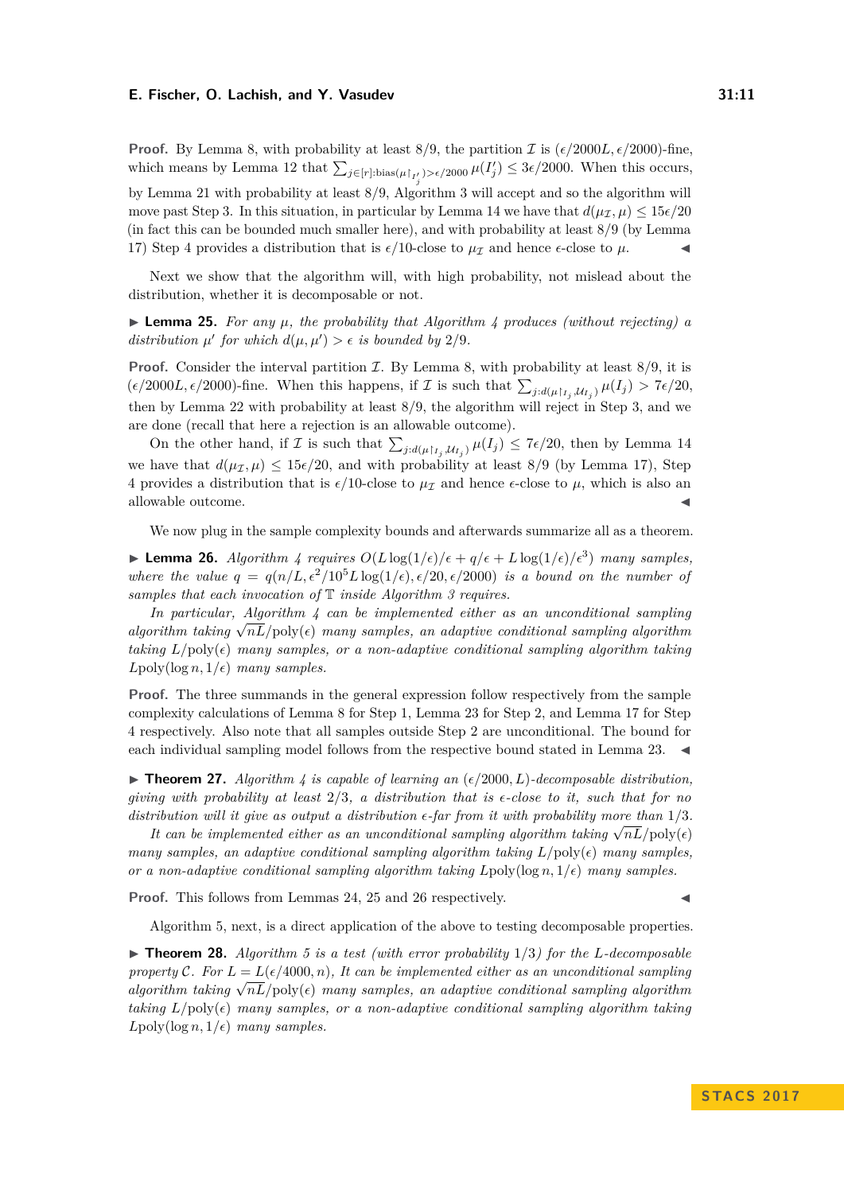**Proof.** By Lemma [8,](#page-5-2) with probability at least  $8/9$ , the partition  $\mathcal{I}$  is  $(\epsilon/2000L, \epsilon/2000)$ -fine, which means by Lemma [12](#page-6-1) that  $\sum_{j \in [r]: \text{bias}(\mu|_{I'_j}) > \epsilon/2000} \mu(I'_j) \leq 3\epsilon/2000$ . When this occurs, by Lemma [21](#page-8-7) with probability at least 8*/*9, Algorithm [3](#page-8-1) will accept and so the algorithm will move past Step [3.](#page-9-1) In this situation, in particular by Lemma [14](#page-7-0) we have that  $d(\mu_{\tau}, \mu) \leq 15\epsilon/20$ (in fact this can be bounded much smaller here), and with probability at least 8*/*9 (by Lemma [17\)](#page-7-1) Step [4](#page-9-2) provides a distribution that is  $\epsilon/10$ -close to  $\mu_{\mathcal{I}}$  and hence  $\epsilon$ -close to  $\mu$ .

Next we show that the algorithm will, with high probability, not mislead about the distribution, whether it is decomposable or not.

<span id="page-10-1"></span>I **Lemma 25.** *For any µ, the probability that Algorithm [4](#page-9-0) produces (without rejecting) a distribution*  $\mu'$  *for which*  $d(\mu, \mu') > \epsilon$  *is bounded by* 2/9*.* 

**Proof.** Consider the interval partition  $\mathcal{I}$ . By Lemma [8,](#page-5-2) with probability at least  $8/9$ , it is  $(\epsilon/2000L, \epsilon/2000)$ -fine. When this happens, if  $\mathcal I$  is such that  $\sum_{j:d(\mu|_{I_j},\mathcal U_{I_j})}\mu(I_j) > 7\epsilon/20$ , then by Lemma [22](#page-9-3) with probability at least 8*/*9, the algorithm will reject in Step [3,](#page-9-1) and we are done (recall that here a rejection is an allowable outcome).

On the other hand, if  $\mathcal I$  is such that  $\sum_{j:d(\mu|_{I_j},\mathcal U_{I_j})} \mu(I_j) \leq 7\epsilon/20$ , then by Lemma [14](#page-7-0) we have that  $d(\mu_{\mathcal{I}}, \mu) \leq 15\epsilon/20$ , and with probability at least 8/9 (by Lemma [17\)](#page-7-1), Step [4](#page-9-2) provides a distribution that is  $\epsilon/10$ -close to  $\mu_{\mathcal{I}}$  and hence  $\epsilon$ -close to  $\mu$ , which is also an allowable outcome.

We now plug in the sample complexity bounds and afterwards summarize all as a theorem.

<span id="page-10-2"></span>**Example 26.** Algorithm [4](#page-9-0) requires  $O(L \log(1/\epsilon)/\epsilon + q/\epsilon + L \log(1/\epsilon)/\epsilon^3)$  many samples, *where the value*  $q = q(n/L, \epsilon^2/10^5 L \log(1/\epsilon), \epsilon/20, \epsilon/2000)$  *is a bound on the number of samples that each invocation of* T *inside Algorithm [3](#page-8-1) requires.*

*In particular, Algorithm [4](#page-9-0) can be implemented either as an unconditional sampling algorithm taking*  $\sqrt{n}L/\text{poly}(\epsilon)$  *many samples, an adaptive conditional sampling algorithm taking*  $L/\text{poly}(\epsilon)$  *many samples, or a non-adaptive conditional sampling algorithm taking*  $L \text{poly}(\log n, 1/\epsilon)$  *many samples.* 

**Proof.** The three summands in the general expression follow respectively from the sample complexity calculations of Lemma [8](#page-5-2) for Step [1,](#page-9-4) Lemma [23](#page-9-5) for Step [2,](#page-9-6) and Lemma [17](#page-7-1) for Step [4](#page-9-2) respectively. Also note that all samples outside Step [2](#page-9-6) are unconditional. The bound for each individual sampling model follows from the respective bound stated in Lemma [23.](#page-9-5)

<span id="page-10-0"></span> $\triangleright$  **Theorem 27.** Algorithm [4](#page-9-0) is capable of learning an  $(\epsilon/2000, L)$ -decomposable distribution, *giving with probability at least* 2*/*3*, a distribution that is -close to it, such that for no distribution will it give as output a distribution*  $\epsilon$ -far from *it with probability more than*  $1/3$ *.* 

*It can be implemented either as an unconditional sampling algorithm taking*  $\sqrt{nL}/poly(\epsilon)$ *many samples, an adaptive conditional sampling algorithm taking*  $L/\text{poly}(\epsilon)$  *many samples, or a non-adaptive conditional sampling algorithm taking*  $L$ poly(log  $n, 1/\epsilon$ ) *many samples.* 

Proof. This follows from Lemmas [24,](#page-9-7) [25](#page-10-1) and [26](#page-10-2) respectively.

Algorithm [5,](#page-11-0) next, is a direct application of the above to testing decomposable properties.

 $\triangleright$  **Theorem 28.** *Algorithm [5](#page-11-0) is a test (with error probability* 1/3*) for the L*-decomposable *property* C. For  $L = L(\epsilon/4000, n)$ , It can be implemented either as an unconditional sampling *property*  $C$ . For  $L = L(\epsilon/4000, n)$ , it can be implemented either as an inconditional sampling algorithm<br>algorithm taking  $\sqrt{nL}/poly(\epsilon)$  many samples, an adaptive conditional sampling algorithm *taking*  $L/\text{poly}(\epsilon)$  *many samples, or a non-adaptive conditional sampling algorithm taking*  $L$ poly(log *n*,  $1/\epsilon$ ) *many samples.*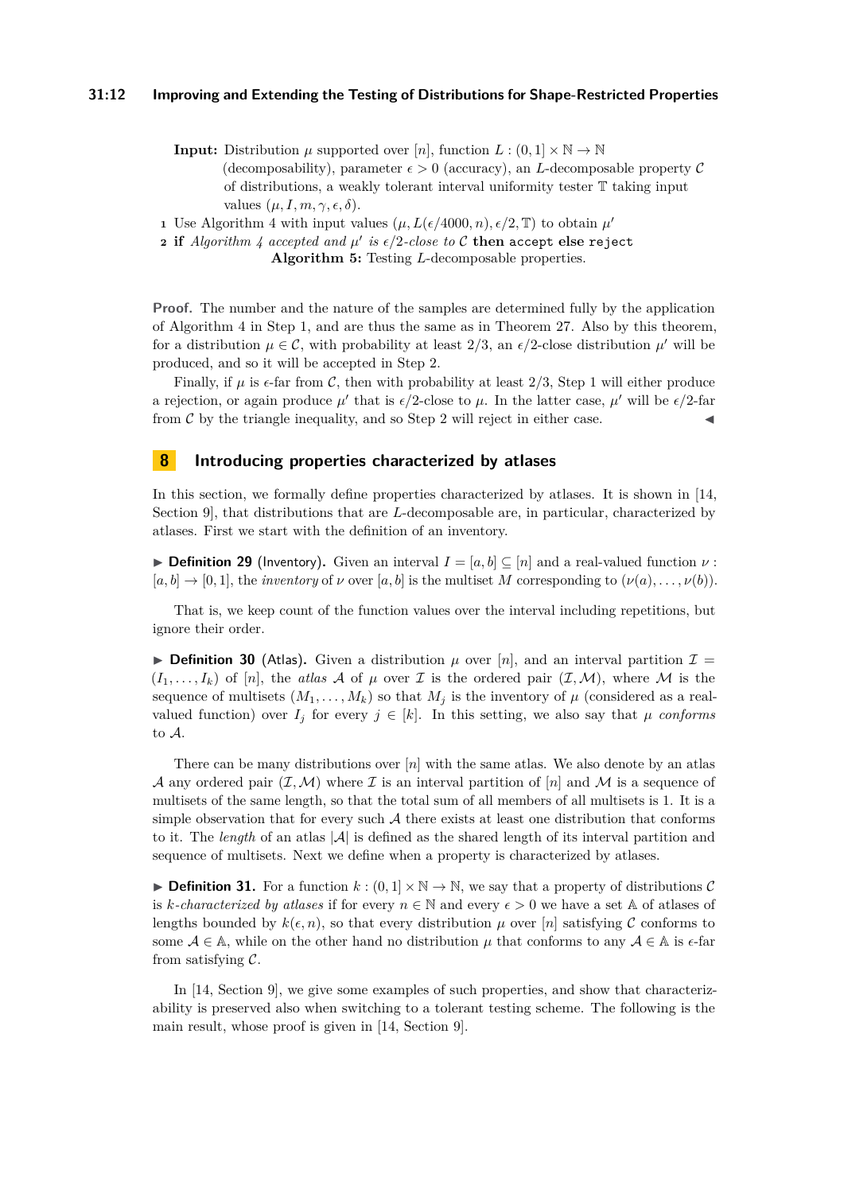<span id="page-11-0"></span>**Input:** Distribution  $\mu$  supported over [*n*], function  $L : (0,1] \times \mathbb{N} \to \mathbb{N}$ (decomposability), parameter  $\epsilon > 0$  (accuracy), an *L*-decomposable property C of distributions, a weakly tolerant interval uniformity tester T taking input values  $(\mu, I, m, \gamma, \epsilon, \delta)$ .

<span id="page-11-1"></span>**1** Use Algorithm [4](#page-9-0) with input values  $(\mu, L(\epsilon/4000, n), \epsilon/2, \mathbb{T})$  to obtain  $\mu'$ 

<span id="page-11-2"></span>**2** if  $Algorithm \nmid$   $accepted$  and  $\mu'$  is  $\epsilon/2$ -close to  $\mathcal C$  then accept else reject **Algorithm 5:** Testing *L*-decomposable properties.

**Proof.** The number and the nature of the samples are determined fully by the application of Algorithm [4](#page-9-0) in Step [1,](#page-11-1) and are thus the same as in Theorem [27.](#page-10-0) Also by this theorem, for a distribution  $\mu \in \mathcal{C}$ , with probability at least 2/3, an  $\epsilon/2$ -close distribution  $\mu'$  will be produced, and so it will be accepted in Step [2.](#page-11-2)

Finally, if  $\mu$  is  $\epsilon$ -far from C, then with probability at least 2/3, Step [1](#page-11-1) will either produce a rejection, or again produce  $\mu'$  that is  $\epsilon/2$ -close to  $\mu$ . In the latter case,  $\mu'$  will be  $\epsilon/2$ -far from  $\mathcal C$  by the triangle inequality, and so Step [2](#page-11-2) will reject in either case.

# **8 Introducing properties characterized by atlases**

In this section, we formally define properties characterized by atlases. It is shown in [\[14,](#page-13-7) Section 9], that distributions that are *L*-decomposable are, in particular, characterized by atlases. First we start with the definition of an inventory.

**▶ Definition 29** (Inventory). Given an interval  $I = [a, b] \subseteq [n]$  and a real-valued function  $\nu$ :  $[a, b] \rightarrow [0, 1]$ , the *inventory* of  $\nu$  over  $[a, b]$  is the multiset *M* corresponding to  $(\nu(a), \ldots, \nu(b))$ .

That is, we keep count of the function values over the interval including repetitions, but ignore their order.

**Definition 30** (Atlas). Given a distribution  $\mu$  over [n], and an interval partition  $\mathcal{I} =$  $(I_1, \ldots, I_k)$  of [n], the *atlas* A of  $\mu$  over I is the ordered pair  $(\mathcal{I}, \mathcal{M})$ , where M is the sequence of multisets  $(M_1, \ldots, M_k)$  so that  $M_j$  is the inventory of  $\mu$  (considered as a realvalued function) over  $I_j$  for every  $j \in [k]$ . In this setting, we also say that  $\mu$  *conforms* to A.

There can be many distributions over [*n*] with the same atlas. We also denote by an atlas A any ordered pair  $(\mathcal{I},\mathcal{M})$  where  $\mathcal I$  is an interval partition of  $[n]$  and  $\mathcal M$  is a sequence of multisets of the same length, so that the total sum of all members of all multisets is 1. It is a simple observation that for every such  $A$  there exists at least one distribution that conforms to it. The *length* of an atlas  $|\mathcal{A}|$  is defined as the shared length of its interval partition and sequence of multisets. Next we define when a property is characterized by atlases.

**► Definition 31.** For a function  $k : (0,1] \times \mathbb{N} \rightarrow \mathbb{N}$ , we say that a property of distributions C is *k*-characterized by atlases if for every  $n \in \mathbb{N}$  and every  $\epsilon > 0$  we have a set A of atlases of lengths bounded by  $k(\epsilon, n)$ , so that every distribution  $\mu$  over [*n*] satisfying C conforms to some  $A \in \mathbb{A}$ , while on the other hand no distribution  $\mu$  that conforms to any  $A \in \mathbb{A}$  is  $\epsilon$ -far from satisfying  $C$ .

In [\[14,](#page-13-7) Section 9], we give some examples of such properties, and show that characterizability is preserved also when switching to a tolerant testing scheme. The following is the main result, whose proof is given in [\[14,](#page-13-7) Section 9].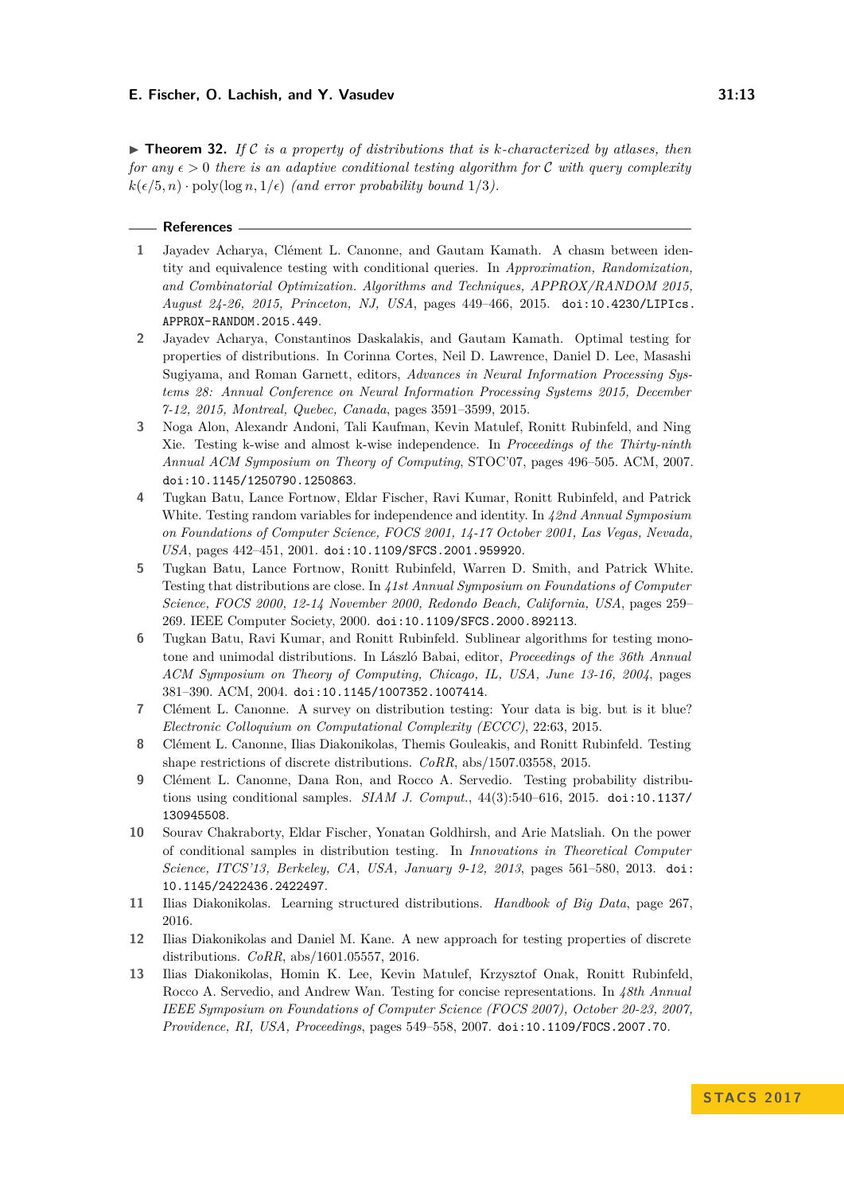$\triangleright$  **Theorem 32.** If C is a property of distributions that is k-characterized by atlases, then *for any*  $\epsilon > 0$  *there is an adaptive conditional testing algorithm for* C *with query complexity*  $k(\epsilon/5, n) \cdot \text{poly}(\log n, 1/\epsilon)$  *(and error probability bound* 1/3*)*.

- **References**
- <span id="page-12-12"></span>**1** Jayadev Acharya, Clément L. Canonne, and Gautam Kamath. A chasm between identity and equivalence testing with conditional queries. In *Approximation, Randomization, and Combinatorial Optimization. Algorithms and Techniques, APPROX/RANDOM 2015, August 24-26, 2015, Princeton, NJ, USA*, pages 449–466, 2015. [doi:10.4230/LIPIcs.](http://dx.doi.org/10.4230/LIPIcs.APPROX-RANDOM.2015.449) [APPROX-RANDOM.2015.449](http://dx.doi.org/10.4230/LIPIcs.APPROX-RANDOM.2015.449).
- <span id="page-12-3"></span>**2** Jayadev Acharya, Constantinos Daskalakis, and Gautam Kamath. Optimal testing for properties of distributions. In Corinna Cortes, Neil D. Lawrence, Daniel D. Lee, Masashi Sugiyama, and Roman Garnett, editors, *Advances in Neural Information Processing Systems 28: Annual Conference on Neural Information Processing Systems 2015, December 7-12, 2015, Montreal, Quebec, Canada*, pages 3591–3599, 2015.
- <span id="page-12-5"></span>**3** Noga Alon, Alexandr Andoni, Tali Kaufman, Kevin Matulef, Ronitt Rubinfeld, and Ning Xie. Testing k-wise and almost k-wise independence. In *Proceedings of the Thirty-ninth Annual ACM Symposium on Theory of Computing*, STOC'07, pages 496–505. ACM, 2007. [doi:10.1145/1250790.1250863](http://dx.doi.org/10.1145/1250790.1250863).
- <span id="page-12-2"></span>**4** Tugkan Batu, Lance Fortnow, Eldar Fischer, Ravi Kumar, Ronitt Rubinfeld, and Patrick White. Testing random variables for independence and identity. In *42nd Annual Symposium on Foundations of Computer Science, FOCS 2001, 14-17 October 2001, Las Vegas, Nevada, USA*, pages 442–451, 2001. [doi:10.1109/SFCS.2001.959920](http://dx.doi.org/10.1109/SFCS.2001.959920).
- <span id="page-12-1"></span>**5** Tugkan Batu, Lance Fortnow, Ronitt Rubinfeld, Warren D. Smith, and Patrick White. Testing that distributions are close. In *41st Annual Symposium on Foundations of Computer Science, FOCS 2000, 12-14 November 2000, Redondo Beach, California, USA*, pages 259– 269. IEEE Computer Society, 2000. [doi:10.1109/SFCS.2000.892113](http://dx.doi.org/10.1109/SFCS.2000.892113).
- <span id="page-12-8"></span>**6** Tugkan Batu, Ravi Kumar, and Ronitt Rubinfeld. Sublinear algorithms for testing monotone and unimodal distributions. In László Babai, editor, *Proceedings of the 36th Annual ACM Symposium on Theory of Computing, Chicago, IL, USA, June 13-16, 2004*, pages 381–390. ACM, 2004. [doi:10.1145/1007352.1007414](http://dx.doi.org/10.1145/1007352.1007414).
- <span id="page-12-0"></span>**7** Clément L. Canonne. A survey on distribution testing: Your data is big. but is it blue? *Electronic Colloquium on Computational Complexity (ECCC)*, 22:63, 2015.
- <span id="page-12-9"></span>**8** Clément L. Canonne, Ilias Diakonikolas, Themis Gouleakis, and Ronitt Rubinfeld. Testing shape restrictions of discrete distributions. *CoRR*, abs/1507.03558, 2015.
- <span id="page-12-6"></span>**9** Clément L. Canonne, Dana Ron, and Rocco A. Servedio. Testing probability distributions using conditional samples. *SIAM J. Comput.*, 44(3):540–616, 2015. [doi:10.1137/](http://dx.doi.org/10.1137/130945508) [130945508](http://dx.doi.org/10.1137/130945508).
- <span id="page-12-7"></span>**10** Sourav Chakraborty, Eldar Fischer, Yonatan Goldhirsh, and Arie Matsliah. On the power of conditional samples in distribution testing. In *Innovations in Theoretical Computer Science, ITCS'13, Berkeley, CA, USA, January 9-12, 2013*, pages 561–580, 2013. [doi:](http://dx.doi.org/10.1145/2422436.2422497) [10.1145/2422436.2422497](http://dx.doi.org/10.1145/2422436.2422497).
- <span id="page-12-10"></span>**11** Ilias Diakonikolas. Learning structured distributions. *Handbook of Big Data*, page 267, 2016.
- <span id="page-12-4"></span>**12** Ilias Diakonikolas and Daniel M. Kane. A new approach for testing properties of discrete distributions. *CoRR*, abs/1601.05557, 2016.
- <span id="page-12-11"></span>**13** Ilias Diakonikolas, Homin K. Lee, Kevin Matulef, Krzysztof Onak, Ronitt Rubinfeld, Rocco A. Servedio, and Andrew Wan. Testing for concise representations. In *48th Annual IEEE Symposium on Foundations of Computer Science (FOCS 2007), October 20-23, 2007, Providence, RI, USA, Proceedings*, pages 549–558, 2007. [doi:10.1109/FOCS.2007.70](http://dx.doi.org/10.1109/FOCS.2007.70).